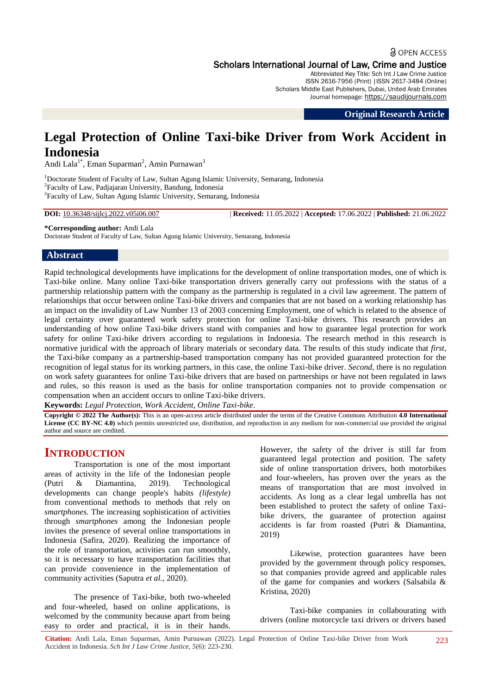## **a** OPEN ACCESS Scholars International Journal of Law, Crime and Justice

Abbreviated Key Title: Sch Int J Law Crime Justice ISSN 2616-7956 (Print) |ISSN 2617-3484 (Online) Scholars Middle East Publishers, Dubai, United Arab Emirates Journal homepage: https://saudijournals.com

**Original Research Article**

# **Legal Protection of Online Taxi-bike Driver from Work Accident in Indonesia**

Andi Lala<sup>1\*</sup>, Eman Suparman<sup>2</sup>, Amin Purnawan<sup>3</sup>

<sup>1</sup>Doctorate Student of Faculty of Law, Sultan Agung Islamic University, Semarang, Indonesia 2 Faculty of Law, Padjajaran University, Bandung, Indonesia <sup>3</sup>Faculty of Law, Sultan Agung Islamic University, Semarang, Indonesia

**DOI:** 10.36348/sijlcj.2022.v05i06.007 | **Received:** 11.05.2022 | **Accepted:** 17.06.2022 | **Published:** 21.06.2022

**\*Corresponding author:** Andi Lala Doctorate Student of Faculty of Law, Sultan Agung Islamic University, Semarang, Indonesia

#### **Abstract**

Rapid technological developments have implications for the development of online transportation modes, one of which is Taxi-bike online. Many online Taxi-bike transportation drivers generally carry out professions with the status of a partnership relationship pattern with the company as the partnership is regulated in a civil law agreement. The pattern of relationships that occur between online Taxi-bike drivers and companies that are not based on a working relationship has an impact on the invalidity of Law Number 13 of 2003 concerning Employment, one of which is related to the absence of legal certainty over guaranteed work safety protection for online Taxi-bike drivers. This research provides an understanding of how online Taxi-bike drivers stand with companies and how to guarantee legal protection for work safety for online Taxi-bike drivers according to regulations in Indonesia. The research method in this research is normative juridical with the approach of library materials or secondary data. The results of this study indicate that *first*, the Taxi-bike company as a partnership-based transportation company has not provided guaranteed protection for the recognition of legal status for its working partners, in this case, the online Taxi-bike driver. *Second*, there is no regulation on work safety guarantees for online Taxi-bike drivers that are based on partnerships or have not been regulated in laws and rules, so this reason is used as the basis for online transportation companies not to provide compensation or compensation when an accident occurs to online Taxi-bike drivers.

**Keywords:** *Legal Protection, Work Accident, Online Taxi-bike*.

**Copyright © 2022 The Author(s):** This is an open-access article distributed under the terms of the Creative Commons Attribution **4.0 International License (CC BY-NC 4.0)** which permits unrestricted use, distribution, and reproduction in any medium for non-commercial use provided the original author and source are credited.

# **INTRODUCTION**

Transportation is one of the most important areas of activity in the life of the Indonesian people (Putri & Diamantina*,* 2019). Technological developments can change people's habits *(lifestyle)*  from conventional methods to methods that rely on *smartphones.* The increasing sophistication of activities through *smartphones* among the Indonesian people invites the presence of several online transportations in Indonesia (Safira, 2020). Realizing the importance of the role of transportation, activities can run smoothly, so it is necessary to have transportation facilities that can provide convenience in the implementation of community activities (Saputra *et al.,* 2020).

The presence of Taxi-bike, both two-wheeled and four-wheeled, based on online applications, is welcomed by the community because apart from being easy to order and practical, it is in their hands.

However, the safety of the driver is still far from guaranteed legal protection and position. The safety side of online transportation drivers, both motorbikes and four-wheelers, has proven over the years as the means of transportation that are most involved in accidents. As long as a clear legal umbrella has not been established to protect the safety of online Taxibike drivers, the guarantee of protection against accidents is far from roasted (Putri & Diamantina, 2019)

Likewise, protection guarantees have been provided by the government through policy responses, so that companies provide agreed and applicable rules of the game for companies and workers (Salsabila & Kristina, 2020)

Taxi-bike companies in collabourating with drivers (online motorcycle taxi drivers or drivers based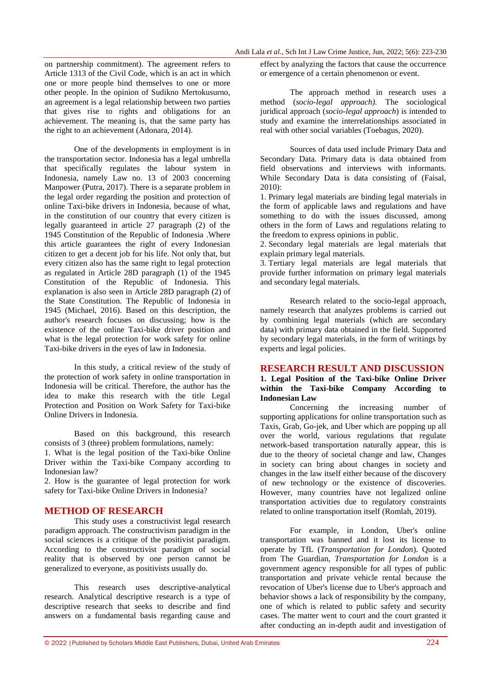on partnership commitment). The agreement refers to Article 1313 of the Civil Code, which is an act in which one or more people bind themselves to one or more other people. In the opinion of Sudikno Mertokusurno, an agreement is a legal relationship between two parties that gives rise to rights and obligations for an achievement. The meaning is, that the same party has the right to an achievement (Adonara, 2014).

One of the developments in employment is in the transportation sector. Indonesia has a legal umbrella that specifically regulates the labour system in Indonesia, namely Law no. 13 of 2003 concerning Manpower (Putra, 2017). There is a separate problem in the legal order regarding the position and protection of online Taxi-bike drivers in Indonesia, because of what, in the constitution of our country that every citizen is legally guaranteed in article 27 paragraph (2) of the 1945 Constitution of the Republic of Indonesia .Where this article guarantees the right of every Indonesian citizen to get a decent job for his life. Not only that, but every citizen also has the same right to legal protection as regulated in Article 28D paragraph (1) of the 1945 Constitution of the Republic of Indonesia. This explanation is also seen in Article 28D paragraph (2) of the State Constitution. The Republic of Indonesia in 1945 (Michael, 2016). Based on this description, the author's research focuses on discussing; how is the existence of the online Taxi-bike driver position and what is the legal protection for work safety for online Taxi-bike drivers in the eyes of law in Indonesia.

In this study, a critical review of the study of the protection of work safety in online transportation in Indonesia will be critical. Therefore, the author has the idea to make this research with the title Legal Protection and Position on Work Safety for Taxi-bike Online Drivers in Indonesia.

Based on this background, this research consists of 3 (three) problem formulations, namely: 1. What is the legal position of the Taxi-bike Online Driver within the Taxi-bike Company according to Indonesian law?

2. How is the guarantee of legal protection for work safety for Taxi-bike Online Drivers in Indonesia?

### **METHOD OF RESEARCH**

This study uses a constructivist legal research paradigm approach. The constructivism paradigm in the social sciences is a critique of the positivist paradigm. According to the constructivist paradigm of social reality that is observed by one person cannot be generalized to everyone, as positivists usually do.

This research uses descriptive-analytical research. Analytical descriptive research is a type of descriptive research that seeks to describe and find answers on a fundamental basis regarding cause and

effect by analyzing the factors that cause the occurrence or emergence of a certain phenomenon or event.

The approach method in research uses a method (*socio-legal approach).* The sociological juridical approach (*socio-legal approach*) is intended to study and examine the interrelationships associated in real with other social variables (Toebagus, 2020).

Sources of data used include Primary Data and Secondary Data. Primary data is data obtained from field observations and interviews with informants. While Secondary Data is data consisting of (Faisal, 2010):

1. Primary legal materials are binding legal materials in the form of applicable laws and regulations and have something to do with the issues discussed, among others in the form of Laws and regulations relating to the freedom to express opinions in public.

2. Secondary legal materials are legal materials that explain primary legal materials.

3. Tertiary legal materials are legal materials that provide further information on primary legal materials and secondary legal materials.

Research related to the socio-legal approach, namely research that analyzes problems is carried out by combining legal materials (which are secondary data) with primary data obtained in the field. Supported by secondary legal materials, in the form of writings by experts and legal policies.

### **RESEARCH RESULT AND DISCUSSION**

#### **1. Legal Position of the Taxi-bike Online Driver within the Taxi-bike Company According to Indonesian Law**

Concerning the increasing number of supporting applications for online transportation such as Taxis, Grab, Go-jek, and Uber which are popping up all over the world, various regulations that regulate network-based transportation naturally appear, this is due to the theory of societal change and law, Changes in society can bring about changes in society and changes in the law itself either because of the discovery of new technology or the existence of discoveries. However, many countries have not legalized online transportation activities due to regulatory constraints related to online transportation itself (Romlah, 2019).

For example, in London, Uber's online transportation was banned and it lost its license to operate by TfL (*Transportation for London*). Quoted from The Guardian, *Transportation for London* is a government agency responsible for all types of public transportation and private vehicle rental because the revocation of Uber's license due to Uber's approach and behavior shows a lack of responsibility by the company, one of which is related to public safety and security cases. The matter went to court and the court granted it after conducting an in-depth audit and investigation of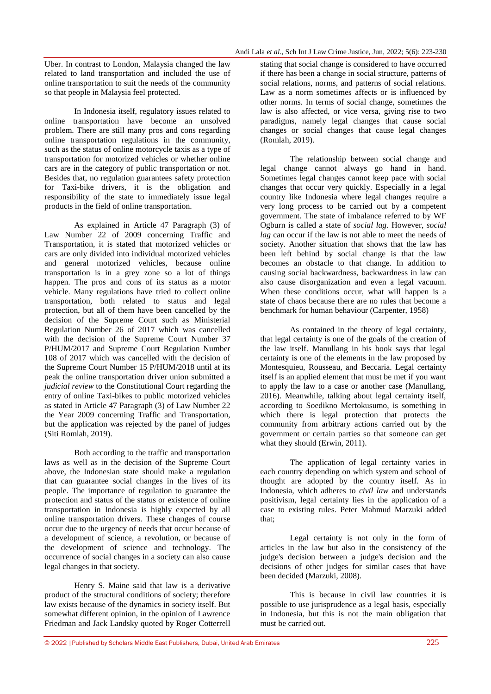Uber. In contrast to London, Malaysia changed the law related to land transportation and included the use of online transportation to suit the needs of the community so that people in Malaysia feel protected.

In Indonesia itself, regulatory issues related to online transportation have become an unsolved problem. There are still many pros and cons regarding online transportation regulations in the community, such as the status of online motorcycle taxis as a type of transportation for motorized vehicles or whether online cars are in the category of public transportation or not. Besides that, no regulation guarantees safety protection for Taxi-bike drivers, it is the obligation and responsibility of the state to immediately issue legal products in the field of online transportation.

As explained in Article 47 Paragraph (3) of Law Number 22 of 2009 concerning Traffic and Transportation, it is stated that motorized vehicles or cars are only divided into individual motorized vehicles and general motorized vehicles, because online transportation is in a grey zone so a lot of things happen. The pros and cons of its status as a motor vehicle. Many regulations have tried to collect online transportation, both related to status and legal protection, but all of them have been cancelled by the decision of the Supreme Court such as Ministerial Regulation Number 26 of 2017 which was cancelled with the decision of the Supreme Court Number 37 P/HUM/2017 and Supreme Court Regulation Number 108 of 2017 which was cancelled with the decision of the Supreme Court Number 15 P/HUM/2018 until at its peak the online transportation driver union submitted a *judicial review* to the Constitutional Court regarding the entry of online Taxi-bikes to public motorized vehicles as stated in Article 47 Paragraph (3) of Law Number 22 the Year 2009 concerning Traffic and Transportation, but the application was rejected by the panel of judges (Siti Romlah, 2019).

Both according to the traffic and transportation laws as well as in the decision of the Supreme Court above, the Indonesian state should make a regulation that can guarantee social changes in the lives of its people. The importance of regulation to guarantee the protection and status of the status or existence of online transportation in Indonesia is highly expected by all online transportation drivers. These changes of course occur due to the urgency of needs that occur because of a development of science, a revolution, or because of the development of science and technology. The occurrence of social changes in a society can also cause legal changes in that society.

Henry S. Maine said that law is a derivative product of the structural conditions of society; therefore law exists because of the dynamics in society itself. But somewhat different opinion, in the opinion of Lawrence Friedman and Jack Landsky quoted by Roger Cotterrell stating that social change is considered to have occurred if there has been a change in social structure, patterns of social relations, norms, and patterns of social relations. Law as a norm sometimes affects or is influenced by other norms. In terms of social change, sometimes the law is also affected, or vice versa, giving rise to two paradigms, namely legal changes that cause social changes or social changes that cause legal changes (Romlah, 2019).

The relationship between social change and legal change cannot always go hand in hand. Sometimes legal changes cannot keep pace with social changes that occur very quickly. Especially in a legal country like Indonesia where legal changes require a very long process to be carried out by a competent government. The state of imbalance referred to by WF Ogburn is called a state of *social lag*. However, *social lag* can occur if the law is not able to meet the needs of society. Another situation that shows that the law has been left behind by social change is that the law becomes an obstacle to that change. In addition to causing social backwardness, backwardness in law can also cause disorganization and even a legal vacuum. When these conditions occur, what will happen is a state of chaos because there are no rules that become a benchmark for human behaviour (Carpenter, 1958)

As contained in the theory of legal certainty, that legal certainty is one of the goals of the creation of the law itself. Manullang in his book says that legal certainty is one of the elements in the law proposed by Montesquieu, Rousseau, and Beccaria. Legal certainty itself is an applied element that must be met if you want to apply the law to a case or another case (Manullang, 2016). Meanwhile, talking about legal certainty itself, according to Soedikno Mertokusumo, is something in which there is legal protection that protects the community from arbitrary actions carried out by the government or certain parties so that someone can get what they should (Erwin, 2011).

The application of legal certainty varies in each country depending on which system and school of thought are adopted by the country itself. As in Indonesia, which adheres to *civil law* and understands positivism, legal certainty lies in the application of a case to existing rules. Peter Mahmud Marzuki added that;

Legal certainty is not only in the form of articles in the law but also in the consistency of the judge's decision between a judge's decision and the decisions of other judges for similar cases that have been decided (Marzuki, 2008).

This is because in civil law countries it is possible to use jurisprudence as a legal basis, especially in Indonesia, but this is not the main obligation that must be carried out.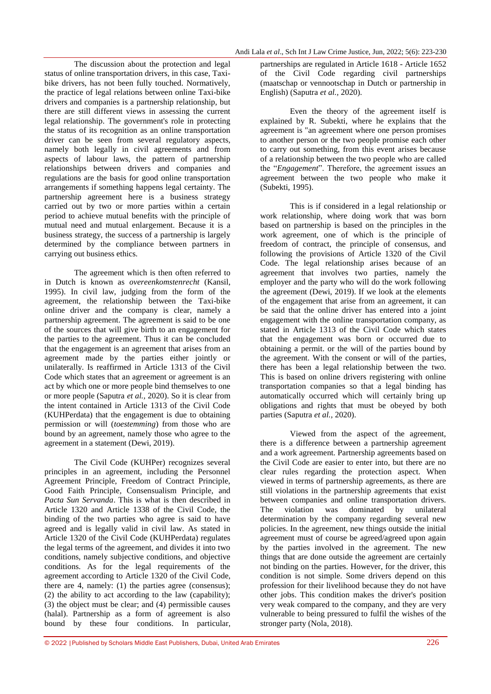The discussion about the protection and legal status of online transportation drivers, in this case, Taxibike drivers, has not been fully touched. Normatively, the practice of legal relations between online Taxi-bike drivers and companies is a partnership relationship, but there are still different views in assessing the current legal relationship. The government's role in protecting the status of its recognition as an online transportation driver can be seen from several regulatory aspects, namely both legally in civil agreements and from aspects of labour laws, the pattern of partnership relationships between drivers and companies and regulations are the basis for good online transportation arrangements if something happens legal certainty. The partnership agreement here is a business strategy carried out by two or more parties within a certain period to achieve mutual benefits with the principle of mutual need and mutual enlargement. Because it is a business strategy, the success of a partnership is largely determined by the compliance between partners in carrying out business ethics.

The agreement which is then often referred to in Dutch is known as *overeenkomstenrecht* (Kansil, 1995). In civil law, judging from the form of the agreement, the relationship between the Taxi-bike online driver and the company is clear, namely a partnership agreement. The agreement is said to be one of the sources that will give birth to an engagement for the parties to the agreement. Thus it can be concluded that the engagement is an agreement that arises from an agreement made by the parties either jointly or unilaterally. Is reaffirmed in Article 1313 of the Civil Code which states that an agreement or agreement is an act by which one or more people bind themselves to one or more people (Saputra *et al.,* 2020). So it is clear from the intent contained in Article 1313 of the Civil Code (KUHPerdata) that the engagement is due to obtaining permission or will (*toestemming*) from those who are bound by an agreement, namely those who agree to the agreement in a statement (Dewi, 2019).

The Civil Code (KUHPer) recognizes several principles in an agreement, including the Personnel Agreement Principle, Freedom of Contract Principle, Good Faith Principle, Consensualism Principle, and *Pacta Sun Servanda*. This is what is then described in Article 1320 and Article 1338 of the Civil Code, the binding of the two parties who agree is said to have agreed and is legally valid in civil law. As stated in Article 1320 of the Civil Code (KUHPerdata) regulates the legal terms of the agreement, and divides it into two conditions, namely subjective conditions, and objective conditions. As for the legal requirements of the agreement according to Article 1320 of the Civil Code, there are 4, namely: (1) the parties agree (consensus); (2) the ability to act according to the law (capability); (3) the object must be clear; and (4) permissible causes (halal). Partnership as a form of agreement is also bound by these four conditions. In particular,

partnerships are regulated in Article 1618 - Article 1652 of the Civil Code regarding civil partnerships (maatschap or vennootschap in Dutch or partnership in English) (Saputra *et al.,* 2020).

Even the theory of the agreement itself is explained by R. Subekti, where he explains that the agreement is "an agreement where one person promises to another person or the two people promise each other to carry out something, from this event arises because of a relationship between the two people who are called the "*Engagement*". Therefore, the agreement issues an agreement between the two people who make it (Subekti, 1995).

This is if considered in a legal relationship or work relationship, where doing work that was born based on partnership is based on the principles in the work agreement, one of which is the principle of freedom of contract, the principle of consensus, and following the provisions of Article 1320 of the Civil Code. The legal relationship arises because of an agreement that involves two parties, namely the employer and the party who will do the work following the agreement (Dewi, 2019). If we look at the elements of the engagement that arise from an agreement, it can be said that the online driver has entered into a joint engagement with the online transportation company, as stated in Article 1313 of the Civil Code which states that the engagement was born or occurred due to obtaining a permit. or the will of the parties bound by the agreement. With the consent or will of the parties, there has been a legal relationship between the two. This is based on online drivers registering with online transportation companies so that a legal binding has automatically occurred which will certainly bring up obligations and rights that must be obeyed by both parties (Saputra *et al.,* 2020).

Viewed from the aspect of the agreement, there is a difference between a partnership agreement and a work agreement. Partnership agreements based on the Civil Code are easier to enter into, but there are no clear rules regarding the protection aspect. When viewed in terms of partnership agreements, as there are still violations in the partnership agreements that exist between companies and online transportation drivers. The violation was dominated by unilateral determination by the company regarding several new policies. In the agreement, new things outside the initial agreement must of course be agreed/agreed upon again by the parties involved in the agreement. The new things that are done outside the agreement are certainly not binding on the parties. However, for the driver, this condition is not simple. Some drivers depend on this profession for their livelihood because they do not have other jobs. This condition makes the driver's position very weak compared to the company, and they are very vulnerable to being pressured to fulfil the wishes of the stronger party (Nola, 2018).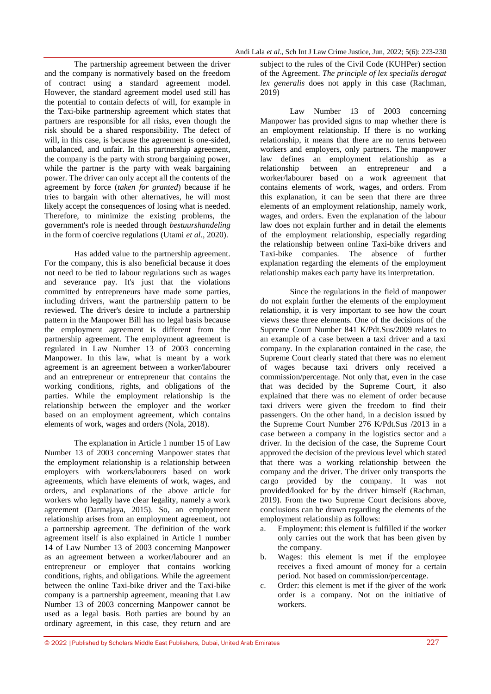The partnership agreement between the driver and the company is normatively based on the freedom of contract using a standard agreement model. However, the standard agreement model used still has the potential to contain defects of will, for example in the Taxi-bike partnership agreement which states that partners are responsible for all risks, even though the risk should be a shared responsibility. The defect of will, in this case, is because the agreement is one-sided, unbalanced, and unfair. In this partnership agreement, the company is the party with strong bargaining power, while the partner is the party with weak bargaining power. The driver can only accept all the contents of the agreement by force (*taken for granted*) because if he tries to bargain with other alternatives, he will most likely accept the consequences of losing what is needed. Therefore, to minimize the existing problems, the government's role is needed through *bestuurshandeling* in the form of coercive regulations (Utami *et al.,* 2020).

Has added value to the partnership agreement. For the company, this is also beneficial because it does not need to be tied to labour regulations such as wages and severance pay. It's just that the violations committed by entrepreneurs have made some parties, including drivers, want the partnership pattern to be reviewed. The driver's desire to include a partnership pattern in the Manpower Bill has no legal basis because the employment agreement is different from the partnership agreement. The employment agreement is regulated in Law Number 13 of 2003 concerning Manpower. In this law, what is meant by a work agreement is an agreement between a worker/labourer and an entrepreneur or entrepreneur that contains the working conditions, rights, and obligations of the parties. While the employment relationship is the relationship between the employer and the worker based on an employment agreement, which contains elements of work, wages and orders (Nola, 2018).

The explanation in Article 1 number 15 of Law Number 13 of 2003 concerning Manpower states that the employment relationship is a relationship between employers with workers/labourers based on work agreements, which have elements of work, wages, and orders, and explanations of the above article for workers who legally have clear legality, namely a work agreement (Darmajaya, 2015). So, an employment relationship arises from an employment agreement, not a partnership agreement. The definition of the work agreement itself is also explained in Article 1 number 14 of Law Number 13 of 2003 concerning Manpower as an agreement between a worker/labourer and an entrepreneur or employer that contains working conditions, rights, and obligations. While the agreement between the online Taxi-bike driver and the Taxi-bike company is a partnership agreement, meaning that Law Number 13 of 2003 concerning Manpower cannot be used as a legal basis. Both parties are bound by an ordinary agreement, in this case, they return and are

subject to the rules of the Civil Code (KUHPer) section of the Agreement. *The principle of lex specialis derogat lex generalis* does not apply in this case (Rachman, 2019)

Law Number 13 of 2003 concerning Manpower has provided signs to map whether there is an employment relationship. If there is no working relationship, it means that there are no terms between workers and employers, only partners. The manpower law defines an employment relationship as a relationship between an entrepreneur and a worker/labourer based on a work agreement that contains elements of work, wages, and orders. From this explanation, it can be seen that there are three elements of an employment relationship, namely work, wages, and orders. Even the explanation of the labour law does not explain further and in detail the elements of the employment relationship, especially regarding the relationship between online Taxi-bike drivers and Taxi-bike companies. The absence of further explanation regarding the elements of the employment relationship makes each party have its interpretation.

Since the regulations in the field of manpower do not explain further the elements of the employment relationship, it is very important to see how the court views these three elements. One of the decisions of the Supreme Court Number 841 K/Pdt.Sus/2009 relates to an example of a case between a taxi driver and a taxi company. In the explanation contained in the case, the Supreme Court clearly stated that there was no element of wages because taxi drivers only received a commission/percentage. Not only that, even in the case that was decided by the Supreme Court, it also explained that there was no element of order because taxi drivers were given the freedom to find their passengers. On the other hand, in a decision issued by the Supreme Court Number 276 K/Pdt.Sus /2013 in a case between a company in the logistics sector and a driver. In the decision of the case, the Supreme Court approved the decision of the previous level which stated that there was a working relationship between the company and the driver. The driver only transports the cargo provided by the company. It was not provided/looked for by the driver himself (Rachman, 2019). From the two Supreme Court decisions above, conclusions can be drawn regarding the elements of the employment relationship as follows:

- a. Employment: this element is fulfilled if the worker only carries out the work that has been given by the company.
- b. Wages: this element is met if the employee receives a fixed amount of money for a certain period. Not based on commission/percentage.
- c. Order: this element is met if the giver of the work order is a company. Not on the initiative of workers.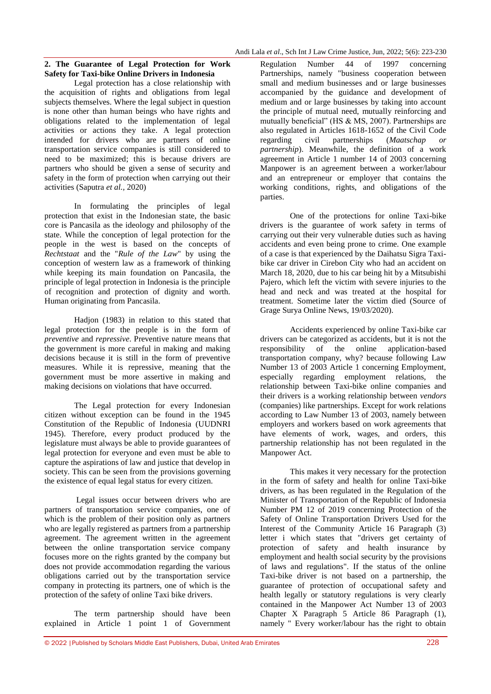#### **2. The Guarantee of Legal Protection for Work Safety for Taxi-bike Online Drivers in Indonesia**

Legal protection has a close relationship with the acquisition of rights and obligations from legal subjects themselves. Where the legal subject in question is none other than human beings who have rights and obligations related to the implementation of legal activities or actions they take. A legal protection intended for drivers who are partners of online transportation service companies is still considered to need to be maximized; this is because drivers are partners who should be given a sense of security and safety in the form of protection when carrying out their activities (Saputra *et al.,* 2020)

In formulating the principles of legal protection that exist in the Indonesian state, the basic core is Pancasila as the ideology and philosophy of the state. While the conception of legal protection for the people in the west is based on the concepts of *Rechtstaat* and the "*Rule of the Law*" by using the conception of western law as a framework of thinking while keeping its main foundation on Pancasila, the principle of legal protection in Indonesia is the principle of recognition and protection of dignity and worth. Human originating from Pancasila.

Hadjon (1983) in relation to this stated that legal protection for the people is in the form of *preventive* and *repressive*. Preventive nature means that the government is more careful in making and making decisions because it is still in the form of preventive measures. While it is repressive, meaning that the government must be more assertive in making and making decisions on violations that have occurred.

The Legal protection for every Indonesian citizen without exception can be found in the 1945 Constitution of the Republic of Indonesia (UUDNRI 1945). Therefore, every product produced by the legislature must always be able to provide guarantees of legal protection for everyone and even must be able to capture the aspirations of law and justice that develop in society. This can be seen from the provisions governing the existence of equal legal status for every citizen.

Legal issues occur between drivers who are partners of transportation service companies, one of which is the problem of their position only as partners who are legally registered as partners from a partnership agreement. The agreement written in the agreement between the online transportation service company focuses more on the rights granted by the company but does not provide accommodation regarding the various obligations carried out by the transportation service company in protecting its partners, one of which is the protection of the safety of online Taxi bike drivers.

The term partnership should have been explained in Article 1 point 1 of Government

Regulation Number 44 of 1997 concerning Partnerships, namely "business cooperation between small and medium businesses and or large businesses accompanied by the guidance and development of medium and or large businesses by taking into account the principle of mutual need, mutually reinforcing and mutually beneficial" (HS & MS, 2007). Partnerships are also regulated in Articles 1618-1652 of the Civil Code regarding civil partnerships (*Maatschap or partnership*). Meanwhile, the definition of a work agreement in Article 1 number 14 of 2003 concerning Manpower is an agreement between a worker/labour and an entrepreneur or employer that contains the working conditions, rights, and obligations of the parties.

One of the protections for online Taxi-bike drivers is the guarantee of work safety in terms of carrying out their very vulnerable duties such as having accidents and even being prone to crime. One example of a case is that experienced by the Daihatsu Sigra Taxibike car driver in Cirebon City who had an accident on March 18, 2020, due to his car being hit by a Mitsubishi Pajero, which left the victim with severe injuries to the head and neck and was treated at the hospital for treatment. Sometime later the victim died (Source of Grage Surya Online News, 19/03/2020).

Accidents experienced by online Taxi-bike car drivers can be categorized as accidents, but it is not the responsibility of the online application-based transportation company, why? because following Law Number 13 of 2003 Article 1 concerning Employment, especially regarding employment relations, the relationship between Taxi-bike online companies and their drivers is a working relationship between *vendors* (companies) like partnerships. Except for work relations according to Law Number 13 of 2003, namely between employers and workers based on work agreements that have elements of work, wages, and orders, this partnership relationship has not been regulated in the Manpower Act.

This makes it very necessary for the protection in the form of safety and health for online Taxi-bike drivers, as has been regulated in the Regulation of the Minister of Transportation of the Republic of Indonesia Number PM 12 of 2019 concerning Protection of the Safety of Online Transportation Drivers Used for the Interest of the Community Article 16 Paragraph (3) letter i which states that "drivers get certainty of protection of safety and health insurance by employment and health social security by the provisions of laws and regulations". If the status of the online Taxi-bike driver is not based on a partnership, the guarantee of protection of occupational safety and health legally or statutory regulations is very clearly contained in the Manpower Act Number 13 of 2003 Chapter X Paragraph 5 Article 86 Paragraph (1), namely " Every worker/labour has the right to obtain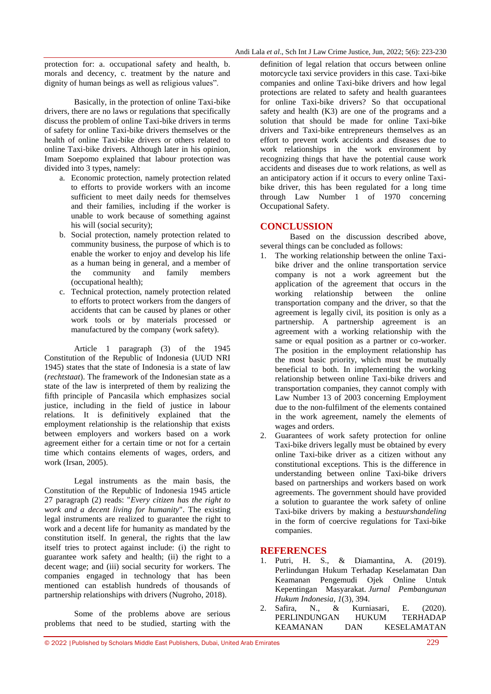protection for: a. occupational safety and health, b. morals and decency, c. treatment by the nature and dignity of human beings as well as religious values".

Basically, in the protection of online Taxi-bike drivers, there are no laws or regulations that specifically discuss the problem of online Taxi-bike drivers in terms of safety for online Taxi-bike drivers themselves or the health of online Taxi-bike drivers or others related to online Taxi-bike drivers. Although later in his opinion, Imam Soepomo explained that labour protection was divided into 3 types, namely:

- a. Economic protection, namely protection related to efforts to provide workers with an income sufficient to meet daily needs for themselves and their families, including if the worker is unable to work because of something against his will (social security);
- b. Social protection, namely protection related to community business, the purpose of which is to enable the worker to enjoy and develop his life as a human being in general, and a member of the community and family members (occupational health);
- c. Technical protection, namely protection related to efforts to protect workers from the dangers of accidents that can be caused by planes or other work tools or by materials processed or manufactured by the company (work safety).

Article 1 paragraph (3) of the 1945 Constitution of the Republic of Indonesia (UUD NRI 1945) states that the state of Indonesia is a state of law (*rechtstaat*). The framework of the Indonesian state as a state of the law is interpreted of them by realizing the fifth principle of Pancasila which emphasizes social justice, including in the field of justice in labour relations. It is definitively explained that the employment relationship is the relationship that exists between employers and workers based on a work agreement either for a certain time or not for a certain time which contains elements of wages, orders, and work (Irsan, 2005).

Legal instruments as the main basis, the Constitution of the Republic of Indonesia 1945 article 27 paragraph (2) reads: "*Every citizen has the right to work and a decent living for humanity*". The existing legal instruments are realized to guarantee the right to work and a decent life for humanity as mandated by the constitution itself. In general, the rights that the law itself tries to protect against include: (i) the right to guarantee work safety and health; (ii) the right to a decent wage; and (iii) social security for workers. The companies engaged in technology that has been mentioned can establish hundreds of thousands of partnership relationships with drivers (Nugroho, 2018).

Some of the problems above are serious problems that need to be studied, starting with the

definition of legal relation that occurs between online motorcycle taxi service providers in this case. Taxi-bike companies and online Taxi-bike drivers and how legal protections are related to safety and health guarantees for online Taxi-bike drivers? So that occupational safety and health (K3) are one of the programs and a solution that should be made for online Taxi-bike drivers and Taxi-bike entrepreneurs themselves as an effort to prevent work accidents and diseases due to work relationships in the work environment by recognizing things that have the potential cause work accidents and diseases due to work relations, as well as an anticipatory action if it occurs to every online Taxibike driver, this has been regulated for a long time through Law Number 1 of 1970 concerning Occupational Safety.

### **CONCLUSSION**

Based on the discussion described above, several things can be concluded as follows:

- 1. The working relationship between the online Taxibike driver and the online transportation service company is not a work agreement but the application of the agreement that occurs in the working relationship between the online transportation company and the driver, so that the agreement is legally civil, its position is only as a partnership. A partnership agreement is an agreement with a working relationship with the same or equal position as a partner or co-worker. The position in the employment relationship has the most basic priority, which must be mutually beneficial to both. In implementing the working relationship between online Taxi-bike drivers and transportation companies, they cannot comply with Law Number 13 of 2003 concerning Employment due to the non-fulfilment of the elements contained in the work agreement, namely the elements of wages and orders.
- 2. Guarantees of work safety protection for online Taxi-bike drivers legally must be obtained by every online Taxi-bike driver as a citizen without any constitutional exceptions. This is the difference in understanding between online Taxi-bike drivers based on partnerships and workers based on work agreements. The government should have provided a solution to guarantee the work safety of online Taxi-bike drivers by making a *bestuurshandeling* in the form of coercive regulations for Taxi-bike companies.

#### **REFERENCES**

- 1. Putri, H. S., & Diamantina, A. (2019). Perlindungan Hukum Terhadap Keselamatan Dan Keamanan Pengemudi Ojek Online Untuk Kepentingan Masyarakat. *Jurnal Pembangunan Hukum Indonesia*, *1*(3), 394.
- 2. Safira, N., & Kurniasari, E. (2020). PERLINDUNGAN HUKUM TERHADAP KEAMANAN DAN KESELAMATAN